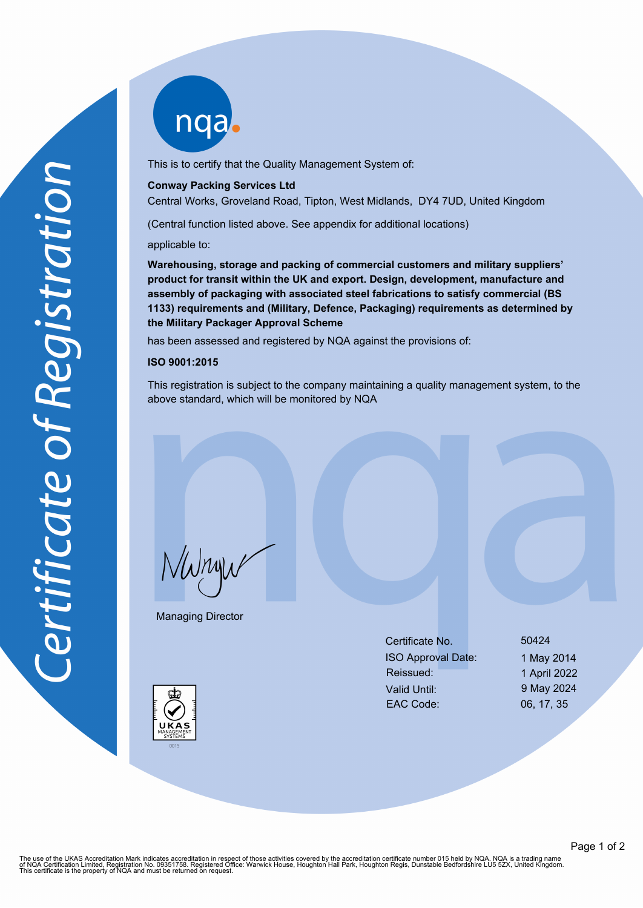nqab

This is to certify that the Quality Management System of:

## **Conway Packing Services Ltd**

Central Works, Groveland Road, Tipton, West Midlands, DY4 7UD, United Kingdom

(Central function listed above. See appendix for additional locations)

applicable to:

**Warehousing, storage and packing of commercial customers and military suppliers' product for transit within the UK and export. Design, development, manufacture and assembly of packaging with associated steel fabrications to satisfy commercial (BS 1133) requirements and (Military, Defence, Packaging) requirements as determined by the Military Packager Approval Scheme**

has been assessed and registered by NQA against the provisions of:

## **ISO 9001:2015**

This registration is subject to the company maintaining a quality management system, to the above standard, which will be monitored by NQA

NWnyw

Managing Director

| Certificate No.           | 50424        |
|---------------------------|--------------|
| <b>ISO Approval Date:</b> | 1 May 2014   |
| Reissued:                 | 1 April 2022 |
| Valid Until:              | 9 May 2024   |
| <b>EAC Code:</b>          | 06, 17, 35   |
|                           |              |